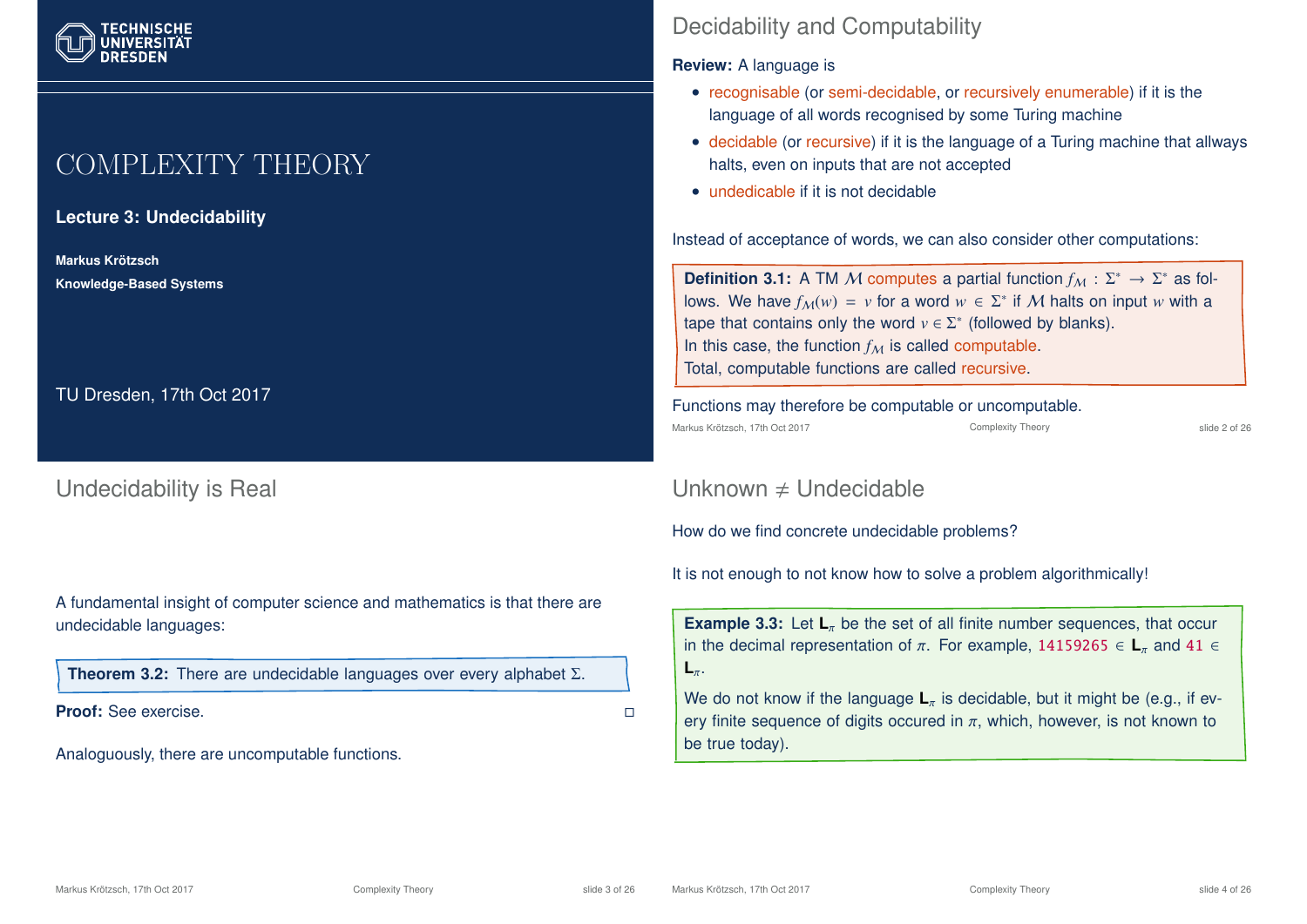# COMPLEXITY THEORY

**Lecture 3: Undecidability**

**Markus Krotzsch ¨ Knowledge-Based Systems**

TU Dresden, 17th Oct 2017

Undecidability is Real

A fundamental insight of computer science and mathematics is that there are undecidable languages:

**Theorem 3.2:** There are undecidable languages over every alphabet Σ.

**Proof:** See exercise.

Analoguously, there are uncomputable functions.

## Decidability and Computability

#### **Review:** A language is

- recognisable (or semi-decidable, or recursively enumerable) if it is the language of all words recognised by some Turing machine
- decidable (or recursive) if it is the language of a Turing machine that allways halts, even on inputs that are not accepted
- undedicable if it is not decidable

Instead of acceptance of words, we can also consider other computations:

**Definition 3.1:** A TM M computes a partial function  $f_M: \Sigma^* \to \Sigma^*$  as follows. We have  $f_{\mathcal{M}}(w) = v$  for a word  $w \in \Sigma^*$  if  $\mathcal M$  halts on input  $w$  with a tape that contains only the word  $v \in \Sigma^*$  (followed by blanks). In this case, the function  $f_M$  is called computable. Total, computable functions are called recursive.

Functions may therefore be computable or uncomputable.

Markus Krötzsch, 17th Oct 2017 **Complexity Theory** Complexity Theory slide 2 of 26

## Unknown  $\neq$  Undecidable

How do we find concrete undecidable problems?

It is not enough to not know how to solve a problem algorithmically!

**Example 3.3:** Let  $\mathbf{L}_{\pi}$  be the set of all finite number sequences, that occur in the decimal representation of  $\pi$ . For example, 14159265  $\in$  **L**<sub>π</sub> and 41  $\in$ **L**π.

We do not know if the language  $L_{\pi}$  is decidable, but it might be (e.g., if every finite sequence of digits occured in  $\pi$ , which, however, is not known to be true today).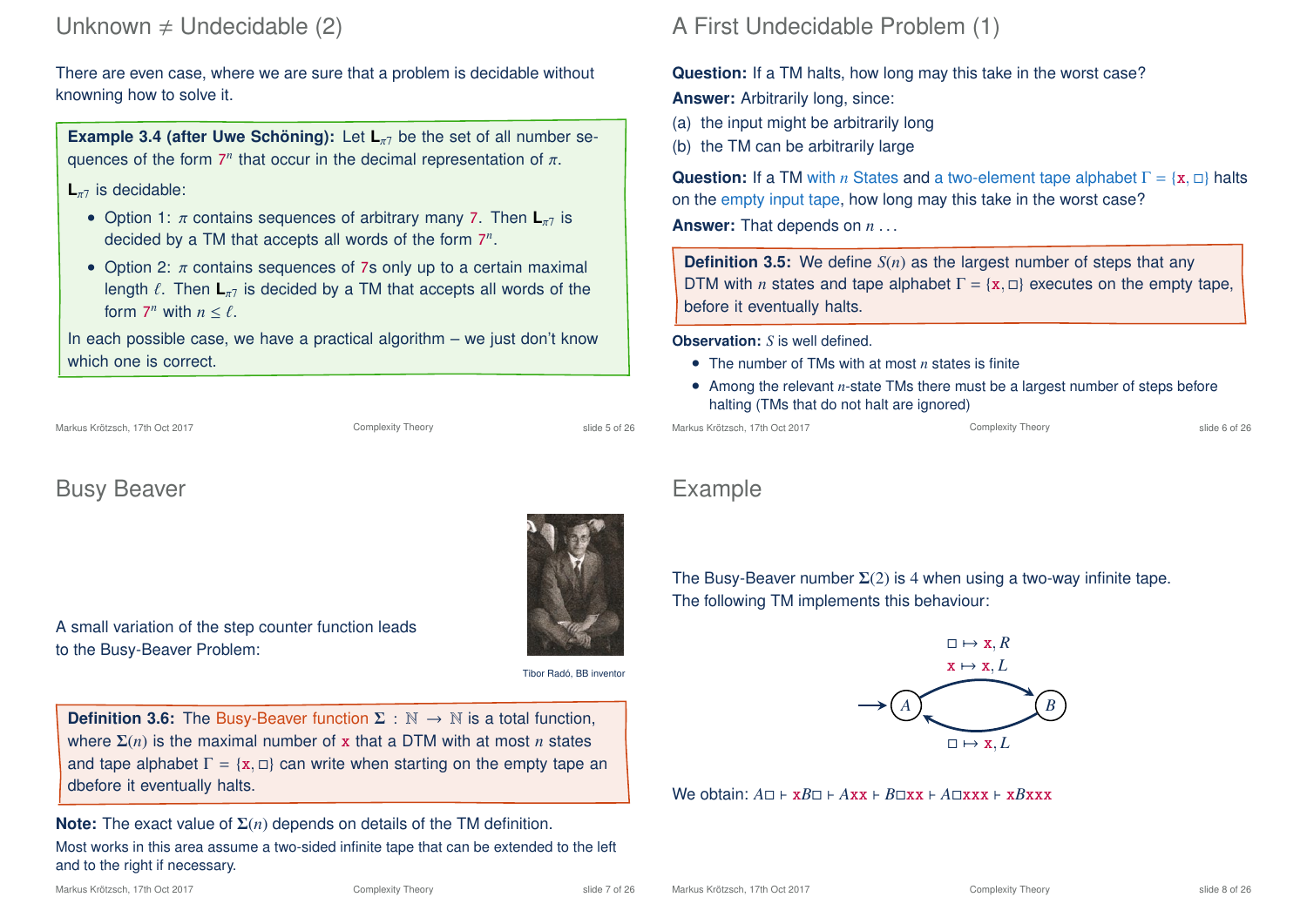## Unknown  $\neq$  Undecidable (2)

There are even case, where we are sure that a problem is decidable without knowning how to solve it.

**Example 3.4 (after Uwe Schöning):** Let  $L_{\pi}$  be the set of all number sequences of the form  $7<sup>n</sup>$  that occur in the decimal representation of  $π$ .

### L<sub>π7</sub> is decidable:

- Option 1: π contains sequences of arbitrary many 7. Then  $\mathbf{L}_{\pi7}$  is decided by a TM that accepts all words of the form 7 *n* .
- Option 2:  $\pi$  contains sequences of 7s only up to a certain maximal length  $\ell$ . Then  $\mathbf{L}_{\pi}$  is decided by a TM that accepts all words of the form  $7^n$  with  $n \leq \ell$ .

In each possible case, we have a practical algorithm  $-$  we just don't know which one is correct.

## Busy Beaver

A small variation of the step counter function leads to the Busy-Beaver Problem:

Tibor Radó, BB inventor

**Definition 3.6:** The Busy-Beaver function  $\Sigma : \mathbb{N} \to \mathbb{N}$  is a total function, where Σ(*n*) is the maximal number of x that a DTM with at most *n* states and tape alphabet  $\Gamma = \{x, \Box\}$  can write when starting on the empty tape an dbefore it eventually halts.

**Note:** The exact value of Σ(*n*) depends on details of the TM definition. Most works in this area assume a two-sided infinite tape that can be extended to the left and to the right if necessary.

## A First Undecidable Problem (1)

### **Question:** If a TM halts, how long may this take in the worst case?

**Answer:** Arbitrarily long, since:

- (a) the input might be arbitrarily long
- (b) the TM can be arbitrarily large

**Question:** If a TM with *n* States and a two-element tape alphabet  $\Gamma = \{x, \Box\}$  halts on the empty input tape, how long may this take in the worst case?

**Answer:** That depends on *n* . . .

**Definition 3.5:** We define *S(n)* as the largest number of steps that any DTM with *n* states and tape alphabet  $\Gamma = \{x, \Box\}$  executes on the empty tape, before it eventually halts.

**Observation:** *S* is well defined.

- The number of TMs with at most *n* states is finite
- Among the relevant *n*-state TMs there must be a largest number of steps before halting (TMs that do not halt are ignored)

Markus Krötzsch, 17th Oct 2017 **Complexity Theory** Complexity Theory slide 6 of 26

## Example

The Busy-Beaver number  $\Sigma(2)$  is 4 when using a two-way infinite tape. The following TM implements this behaviour:



 $W$ e obtain:  $A \sqcap F$  x $B \sqcap F$  *Axx*  $F$   $B \sqcap x$ x  $F$   $A \sqcap x$ xx  $F$  x $B$ xxx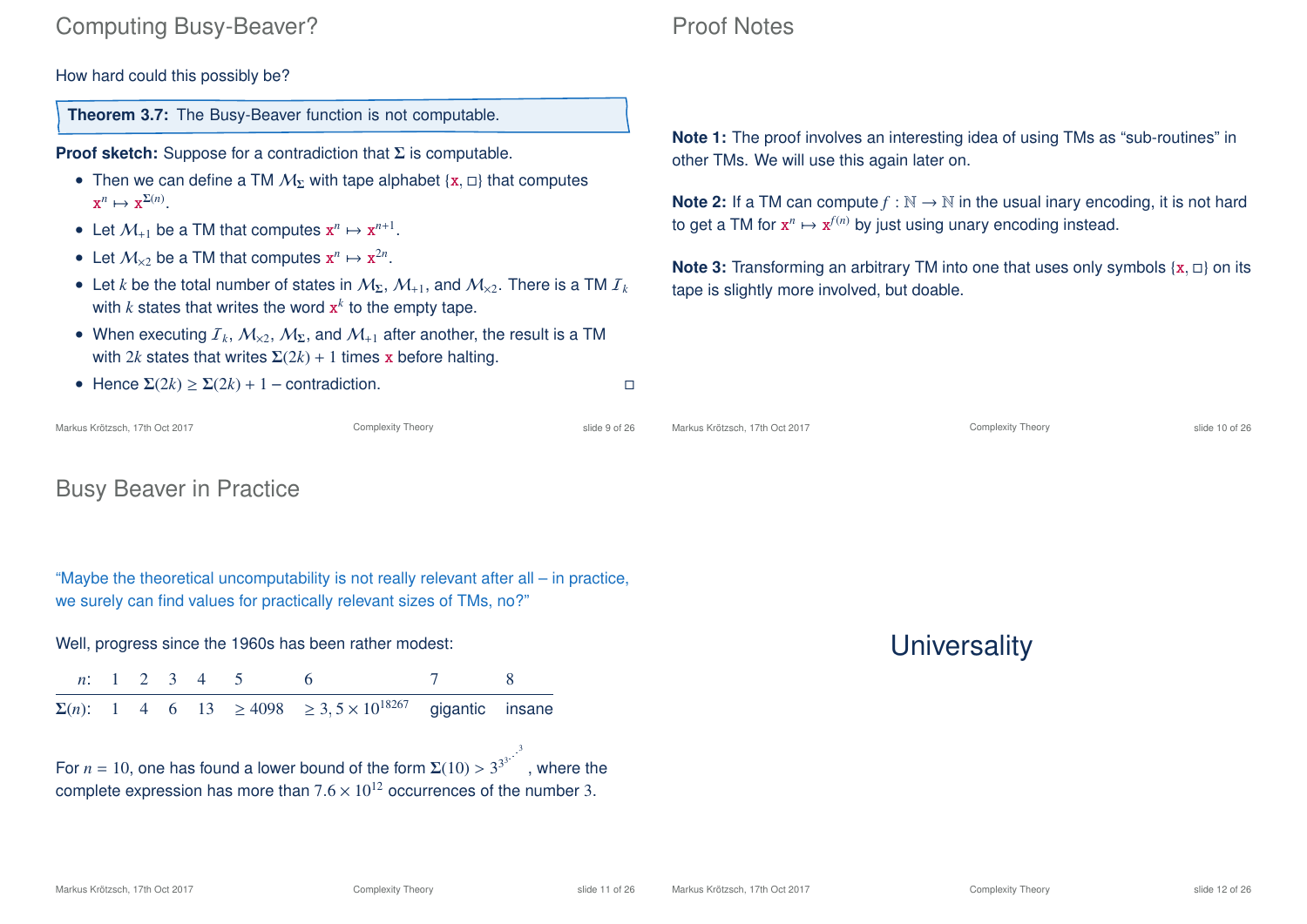## Computing Busy-Beaver?

How hard could this possibly be?

**Theorem 3.7:** The Busy-Beaver function is not computable.

**Proof sketch:** Suppose for a contradiction that Σ is computable.

- Then we can define a TM  $M_{\Sigma}$  with tape alphabet {x,  $\Box$ } that computes  $\mathbf{x}^n \mapsto \mathbf{x}^{\Sigma(n)}$ .
- Let  $M_{+1}$  be a TM that computes  $x^n \mapsto x^{n+1}$ .
- Let  $M_{\times 2}$  be a TM that computes  $x^n \mapsto x^{2n}$ .
- Let *k* be the total number of states in  $M_{\Sigma}$ ,  $M_{+1}$ , and  $M_{\times 2}$ . There is a TM  $I_k$ with  $k$  states that writes the word  $\mathbf{x}^k$  to the empty tape.
- When executing  $I_k$ ,  $M_{\times 2}$ ,  $M_{\Sigma}$ , and  $M_{+1}$  after another, the result is a TM with 2*k* states that writes  $\Sigma(2k) + 1$  times x before halting.

## Proof Notes

**Note 1:** The proof involves an interesting idea of using TMs as "sub-routines" in other TMs. We will use this again later on.

**Note 2:** If a TM can compute  $f : \mathbb{N} \to \mathbb{N}$  in the usual inary encoding, it is not hard to get a TM for  $x^n \mapsto x^{f(n)}$  by just using unary encoding instead.

**Note 3:** Transforming an arbitrary TM into one that uses only symbols  $\{x, \Box\}$  on its tape is slightly more involved, but doable.

| • Hence $\Sigma(2k) \geq \Sigma(2k) + 1$ – contradiction. |                   |               |                                |                          |                |  |
|-----------------------------------------------------------|-------------------|---------------|--------------------------------|--------------------------|----------------|--|
| Markus Krötzsch, 17th Oct 2017                            | Complexity Theory | slide 9 of 26 | Markus Krötzsch, 17th Oct 2017 | <b>Complexity Theory</b> | slide 10 of 26 |  |

## Busy Beaver in Practice

"Maybe the theoretical uncomputability is not really relevant after all – in practice, we surely can find values for practically relevant sizes of TMs, no?"

Well, progress since the 1960s has been rather modest:

*n*: 1 2 3 4 5 6 7 8  $Σ(n)$ : 1 4 6 13 ≥ 4098 ≥ 3, 5 × 10<sup>18267</sup> gigantic insane

For  $n = 10$ , one has found a lower bound of the form  $\Sigma(10) > 3^{3^3}$ . 3 , where the complete expression has more than  $7.6 \times 10^{12}$  occurrences of the number 3.

**Universality**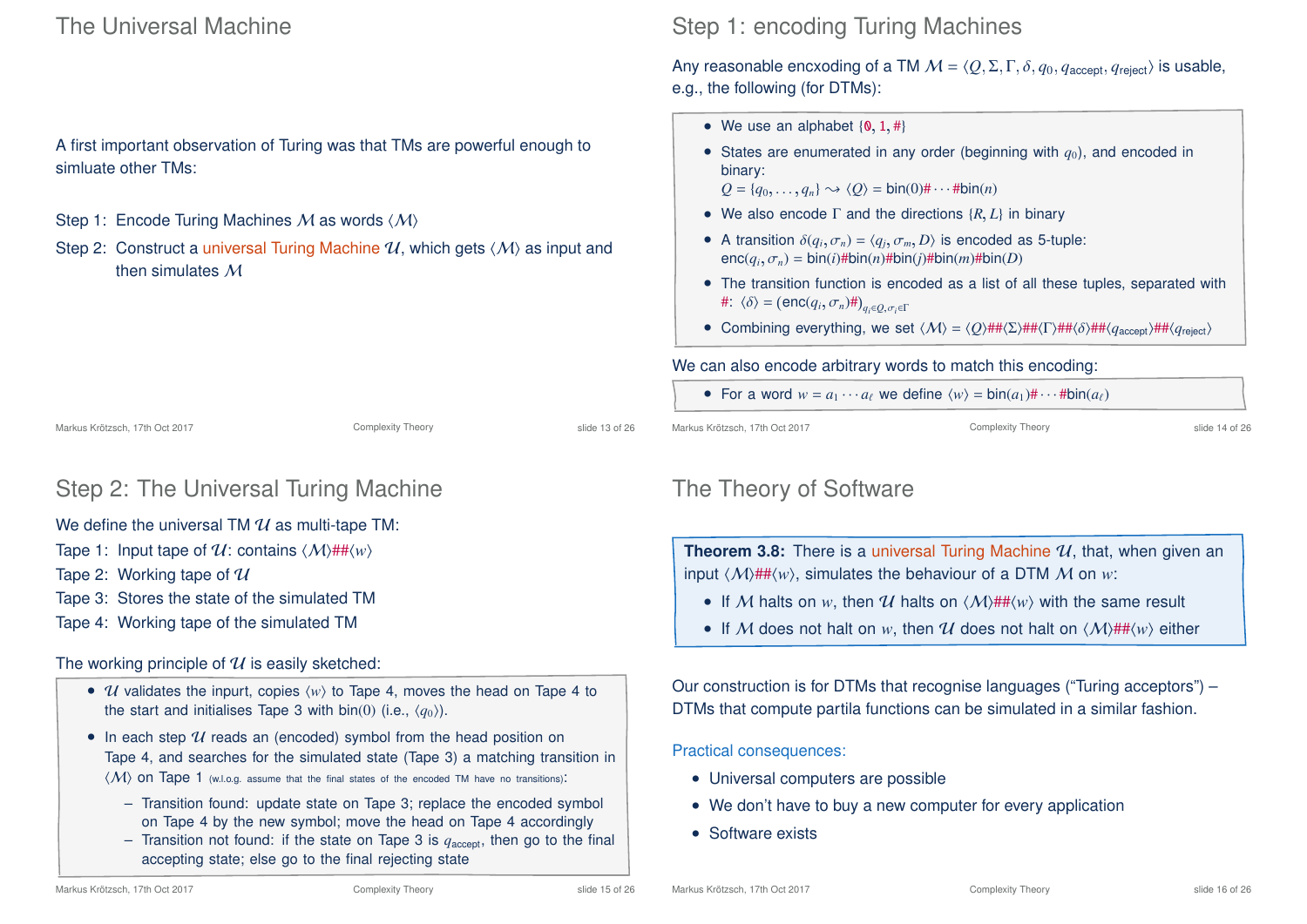## The Universal Machine

A first important observation of Turing was that TMs are powerful enough to simluate other TMs:

- Step 1: Encode Turing Machines M as words  $\langle M \rangle$
- Step 2: Construct a universal Turing Machine  $\mathcal{U}$ , which gets  $\langle \mathcal{M} \rangle$  as input and then simulates M

## Step 1: encoding Turing Machines

Any reasonable encxoding of a TM  $M = \langle Q, \Sigma, \Gamma, \delta, q_0, q_{\text{accept}}, q_{\text{reject}} \rangle$  is usable, e.g., the following (for DTMs):

- We use an alphabet  $\{0, 1, #\}$
- States are enumerated in any order (beginning with  $q_0$ ), and encoded in binary:
	- $Q = \{q_0, \ldots, q_n\} \rightsquigarrow \langle Q \rangle = \text{bin}(0) \# \cdots \# \text{bin}(n)$
- We also encode Γ and the directions {*R*, *L*} in binary
- A transition  $\delta(q_i, \sigma_n) = \langle q_j, \sigma_m, D \rangle$  is encoded as 5-tuple:  $enc(q_i, \sigma_n) = bin(i)$ #bin $(n)$ #bin $(j)$ #bin $(m)$ #bin $(D)$
- The transition function is encoded as a list of all these tuples, separated with  $\#\colon \langle \delta \rangle = (\text{enc}(q_i, \sigma_n) \# )_{q_i \in Q, \sigma_i \in \Gamma}$
- Combining everything, we set  $\langle M \rangle = \langle O \rangle \# \# \langle \Sigma \rangle \# \# \langle \overline{I} \rangle \# \# \langle \overline{I} \rangle \# \# \langle \overline{I} \rangle \# \{q_{reject}\}$

#### We can also encode arbitrary words to match this encoding:

• For a word  $w = a_1 \cdots a_\ell$  we define  $\langle w \rangle = \text{bin}(a_1) \# \cdots \# \text{bin}(a_\ell)$ 

Markus Krötzsch, 17th Oct 2017 **Complexity Theory** Complexity Theory slide 13 of 26

## Step 2: The Universal Turing Machine

#### We define the universal TM  $U$  as multi-tape TM:

- Tape 1: Input tape of  $\mathcal{U}$ : contains  $\langle \mathcal{M} \rangle$ ## $\langle w \rangle$
- Tape 2: Working tape of  $\mathcal U$
- Tape 3: Stores the state of the simulated TM
- Tape 4: Working tape of the simulated TM

#### The working principle of  $U$  is easily sketched:

- *U* validates the inpurt, copies  $\langle w \rangle$  to Tape 4, moves the head on Tape 4 to the start and initialises Tape 3 with bin(0) (i.e.,  $\langle q_0 \rangle$ ).
- In each step  $U$  reads an (encoded) symbol from the head position on Tape 4, and searches for the simulated state (Tape 3) a matching transition in  $\langle M \rangle$  on Tape 1 (w.l.o.g. assume that the final states of the encoded TM have no transitions):
	- Transition found: update state on Tape 3; replace the encoded symbol on Tape 4 by the new symbol; move the head on Tape 4 accordingly
	- Transition not found: if the state on Tape 3 is  $q_{\text{accept}}$ , then go to the final accepting state; else go to the final rejecting state

Markus Krötzsch, 17th Oct 2017 **Complexity Theory** Complexity Theory slide 14 of 26

## The Theory of Software

**Theorem 3.8:** There is a universal Turing Machine  $U$ , that, when given an input  $\langle M \rangle$ ## $\langle w \rangle$ , simulates the behaviour of a DTM M on *w*:

- If M halts on w, then U halts on  $\langle M \rangle$ ## $\langle w \rangle$  with the same result
- If M does not halt on w, then U does not halt on  $\langle M \rangle$ ## $\langle w \rangle$  either

Our construction is for DTMs that recognise languages ("Turing acceptors") – DTMs that compute partila functions can be simulated in a similar fashion.

Practical consequences:

- Universal computers are possible
- We don't have to buy a new computer for every application
- Software exists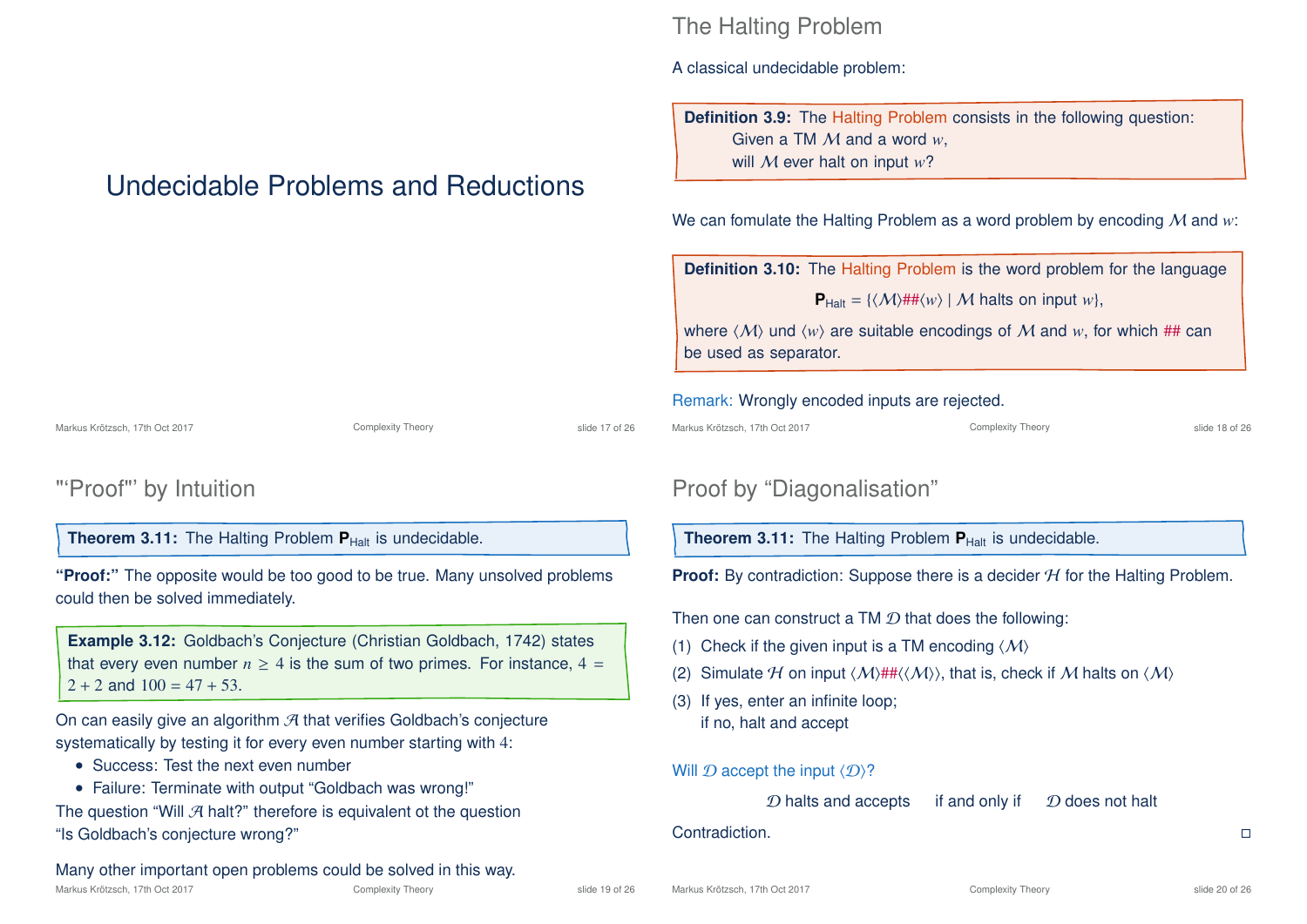# Undecidable Problems and Reductions

Markus Krötzsch, 17th Oct 2017 **Complexity Theory** Complexity Theory slide 17 of 26

**"Proof:"** The opposite would be too good to be true. Many unsolved problems

**Example 3.12:** Goldbach's Conjecture (Christian Goldbach, 1742) states that every even number  $n \geq 4$  is the sum of two primes. For instance,  $4 =$ 

## The Halting Problem

A classical undecidable problem:

**Definition 3.9:** The Halting Problem consists in the following question: Given a TM M and a word *w*, will M ever halt on input *w*?

We can fomulate the Halting Problem as a word problem by encoding M and *w*:

**Definition 3.10:** The Halting Problem is the word problem for the language

 $P_{\text{Half}} = \{ \langle \mathcal{M} \rangle \# \# \langle w \rangle \mid \mathcal{M} \text{ halts on input } w \},\$ 

where  $\langle M \rangle$  und  $\langle w \rangle$  are suitable encodings of M and w, for which ## can be used as separator.

#### Remark: Wrongly encoded inputs are rejected.

| Markus Krötzsch. 17th Oct 2017 |  |
|--------------------------------|--|
|--------------------------------|--|

Complexity Theory Slide 18 of 26

## Proof by "Diagonalisation"

**Theorem 3.11:** The Halting Problem **P**<sub>Halt</sub> is undecidable.

**Proof:** By contradiction: Suppose there is a decider H for the Halting Problem.

Then one can construct a TM  $D$  that does the following:

- (1) Check if the given input is a TM encoding  $\langle M \rangle$
- (2) Simulate H on input  $\langle M \rangle$ ## $\langle \langle M \rangle$ , that is, check if M halts on  $\langle M \rangle$
- (3) If yes, enter an infinite loop; if no, halt and accept

Will  $\mathcal D$  accept the input  $\langle \mathcal D \rangle$ ?

 $D$  halts and accepts if and only if  $D$  does not halt

#### Contradiction.

Many other important open problems could be solved in this way.

• Failure: Terminate with output "Goldbach was wrong!" The question "Will  $\mathcal A$  halt?" therefore is equivalent ot the question

**Theorem 3.11:** The Halting Problem  $P_{\text{Half}}$  is undecidable.

"'Proof"' by Intuition

could then be solved immediately.

• Success: Test the next even number

"Is Goldbach's conjecture wrong?"

 $2 + 2$  and  $100 = 47 + 53$ .

On can easily give an algorithm  $\mathcal A$  that verifies Goldbach's conjecture systematically by testing it for every even number starting with 4: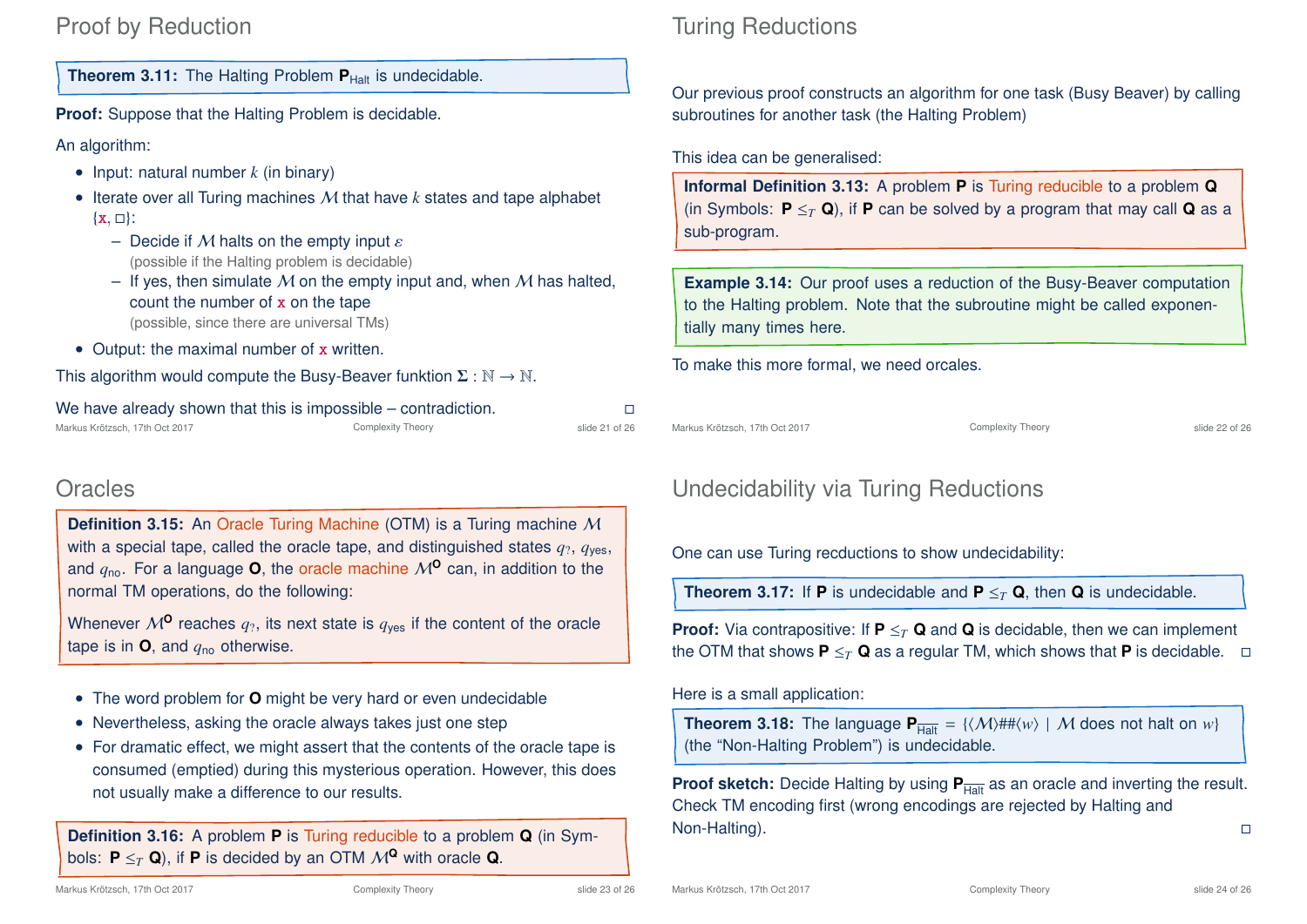## Proof by Reduction

**Theorem 3.11:** The Halting Problem  $P_{\text{Half}}$  is undecidable.

**Proof:** Suppose that the Halting Problem is decidable.

An algorithm:

- Input: natural number *k* (in binary)
- Iterate over all Turing machines M that have *k* states and tape alphabet  $\{x, \Box\}$ :
	- Decide if M halts on the empty input  $\varepsilon$ (possible if the Halting problem is decidable)
	- If yes, then simulate M on the empty input and, when M has halted, count the number of x on the tape (possible, since there are universal TMs)
- Output: the maximal number of x written.

This algorithm would compute the Busy-Beaver funktion  $\Sigma : \mathbb{N} \to \mathbb{N}$ .

| We have already shown that this is impossible – contradiction. |                   |                |
|----------------------------------------------------------------|-------------------|----------------|
| Markus Krötzsch, 17th Oct 2017                                 | Complexity Theory | slide 21 of 26 |

## **Oracles**

**Definition 3.15:** An Oracle Turing Machine (OTM) is a Turing machine M with a special tape, called the oracle tape, and distinguished states  $q_2$ ,  $q_{\text{ves}}$ , and  $q_{\text{no}}$ . For a language **O**, the oracle machine  $M^{\text{O}}$  can, in addition to the normal TM operations, do the following:

Whenever  $M^{\mathbf{0}}$  reaches  $q_2$ , its next state is  $q_{\text{ves}}$  if the content of the oracle tape is in  $\mathbf{O}$ , and  $q_{\text{no}}$  otherwise.

- The word problem for **O** might be very hard or even undecidable
- Nevertheless, asking the oracle always takes just one step
- For dramatic effect, we might assert that the contents of the oracle tape is consumed (emptied) during this mysterious operation. However, this does not usually make a difference to our results.

**Definition 3.16:** A problem **P** is Turing reducible to a problem **Q** (in Symbols:  $P \leq_T Q$ ), if **P** is decided by an OTM  $M^Q$  with oracle **Q**.

## Turing Reductions

Our previous proof constructs an algorithm for one task (Busy Beaver) by calling subroutines for another task (the Halting Problem)

This idea can be generalised:

**Informal Definition 3.13:** A problem **P** is Turing reducible to a problem **Q** (in Symbols:  $P \leq_T Q$ ), if **P** can be solved by a program that may call **Q** as a sub-program.

**Example 3.14:** Our proof uses a reduction of the Busy-Beaver computation to the Halting problem. Note that the subroutine might be called exponentially many times here.

To make this more formal, we need orcales.

Markus Krötzsch, 17th Oct 2017 **Complexity Theory** Complexity Theory slide 22 of 26

## Undecidability via Turing Reductions

One can use Turing recductions to show undecidability:

**Theorem 3.17:** If **P** is undecidable and  $P \leq_T Q$ , then **Q** is undecidable.

**Proof:** Via contrapositive: If **P**  $\leq_T$  **Q** and **Q** is decidable, then we can implement the OTM that shows  $P \leq_T Q$  as a regular TM, which shows that P is decidable.  $\Box$ 

Here is a small application:

**Theorem 3.18:** The language  $P_{\overline{H} \circ \overline{H}} = {\langle \langle M \rangle \# \# \langle w \rangle \mid M \text{ does not halt on } w}$ (the "Non-Halting Problem") is undecidable.

**Proof sketch:** Decide Halting by using  $P_{\text{Halt}}$  as an oracle and inverting the result. Check TM encoding first (wrong encodings are rejected by Halting and Non-Halting).